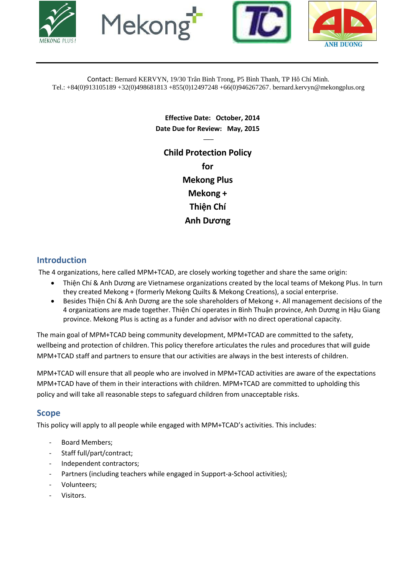







Contact: Bernard KERVYN, 19/30 Trân Bình Trong, P5 Bình Thanh, TP Hô Chí Minh. Tel.: +84(0)913105189 +32(0)498681813 +855(0)12497248 +66(0)946267267. bernard.kervyn@mekongplus.org

> **Effective Date: October, 2014 Date Due for Review: May, 2015**

> > $\overline{\phantom{a}}$

**Child Protection Policy for Mekong Plus Mekong + Thiện Chí Anh Dương**

### **Introduction**

The 4 organizations, here called MPM+TCAD, are closely working together and share the same origin:

- Thiện Chí & Anh Dương are Vietnamese organizations created by the local teams of Mekong Plus. In turn they created Mekong + (formerly Mekong Quilts & Mekong Creations), a social enterprise.
- **Besides Thiện Chí & Anh Dương are the sole shareholders of Mekong +. All management decisions of the** 4 organizations are made together. Thiện Chí operates in Bình Thuận province, Anh Dương in Hậu Giang province. Mekong Plus is acting as a funder and advisor with no direct operational capacity.

The main goal of MPM+TCAD being community development, MPM+TCAD are committed to the safety, wellbeing and protection of children. This policy therefore articulates the rules and procedures that will guide MPM+TCAD staff and partners to ensure that our activities are always in the best interests of children.

MPM+TCAD will ensure that all people who are involved in MPM+TCAD activities are aware of the expectations MPM+TCAD have of them in their interactions with children. MPM+TCAD are committed to upholding this policy and will take all reasonable steps to safeguard children from unacceptable risks.

# **Scope**

This policy will apply to all people while engaged with MPM+TCAD's activities. This includes:

- Board Members;
- Staff full/part/contract;
- Independent contractors;
- Partners (including teachers while engaged in Support-a-School activities);
- Volunteers;
- Visitors.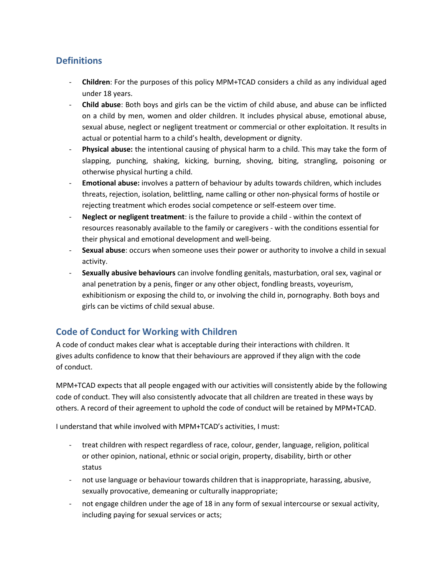## **Definitions**

- **Children**: For the purposes of this policy MPM+TCAD considers a child as any individual aged under 18 years.
- **Child abuse**: Both boys and girls can be the victim of child abuse, and abuse can be inflicted on a child by men, women and older children. It includes physical abuse, emotional abuse, sexual abuse, neglect or negligent treatment or commercial or other exploitation. It results in actual or potential harm to a child's health, development or dignity.
- **Physical abuse:** the intentional causing of physical harm to a child. This may take the form of slapping, punching, shaking, kicking, burning, shoving, biting, strangling, poisoning or otherwise physical hurting a child.
- **Emotional abuse:** involves a pattern of behaviour by adults towards children, which includes threats, rejection, isolation, belittling, name calling or other non-physical forms of hostile or rejecting treatment which erodes social competence or self-esteem over time.
- **Neglect or negligent treatment**: is the failure to provide a child within the context of resources reasonably available to the family or caregivers - with the conditions essential for their physical and emotional development and well-being.
- **Sexual abuse**: occurs when someone uses their power or authority to involve a child in sexual activity.
- **Sexually abusive behaviours** can involve fondling genitals, masturbation, oral sex, vaginal or anal penetration by a penis, finger or any other object, fondling breasts, voyeurism, exhibitionism or exposing the child to, or involving the child in, pornography. Both boys and girls can be victims of child sexual abuse.

## **Code of Conduct for Working with Children**

A code of conduct makes clear what is acceptable during their interactions with children. It gives adults confidence to know that their behaviours are approved if they align with the code of conduct.

MPM+TCAD expects that all people engaged with our activities will consistently abide by the following code of conduct. They will also consistently advocate that all children are treated in these ways by others. A record of their agreement to uphold the code of conduct will be retained by MPM+TCAD.

I understand that while involved with MPM+TCAD's activities, I must:

- treat children with respect regardless of race, colour, gender, language, religion, political or other opinion, national, ethnic or social origin, property, disability, birth or other status
- not use language or behaviour towards children that is inappropriate, harassing, abusive, sexually provocative, demeaning or culturally inappropriate;
- not engage children under the age of 18 in any form of sexual intercourse or sexual activity, including paying for sexual services or acts;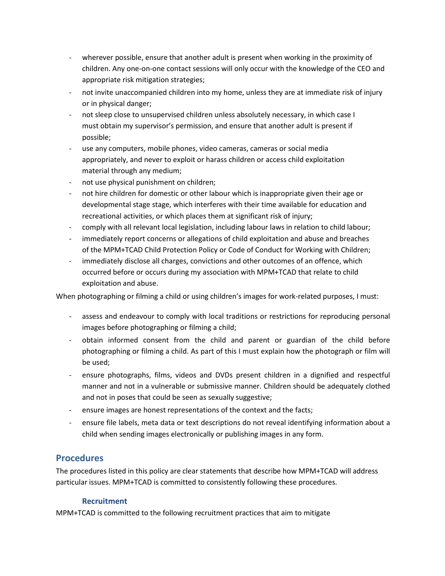- wherever possible, ensure that another adult is present when working in the proximity of children. Any one-on-one contact sessions will only occur with the knowledge of the CEO and appropriate risk mitigation strategies;
- not invite unaccompanied children into my home, unless they are at immediate risk of injury or in physical danger;
- not sleep close to unsupervised children unless absolutely necessary, in which case I must obtain my supervisor's permission, and ensure that another adult is present if possible;
- use any computers, mobile phones, video cameras, cameras or social media appropriately, and never to exploit or harass children or access child exploitation material through any medium;
- not use physical punishment on children;
- not hire children for domestic or other labour which is inappropriate given their age or developmental stage stage, which interferes with their time available for education and recreational activities, or which places them at significant risk of injury;
- comply with all relevant local legislation, including labour laws in relation to child labour;
- immediately report concerns or allegations of child exploitation and abuse and breaches of the MPM+TCAD Child Protection Policy or Code of Conduct for Working with Children;
- immediately disclose all charges, convictions and other outcomes of an offence, which occurred before or occurs during my association with MPM+TCAD that relate to child exploitation and abuse.

When photographing or filming a child or using children's images for work-related purposes, I must:

- assess and endeavour to comply with local traditions or restrictions for reproducing personal images before photographing or filming a child;
- obtain informed consent from the child and parent or guardian of the child before photographing or filming a child. As part of this I must explain how the photograph or film will be used;
- ensure photographs, films, videos and DVDs present children in a dignified and respectful manner and not in a vulnerable or submissive manner. Children should be adequately clothed and not in poses that could be seen as sexually suggestive;
- ensure images are honest representations of the context and the facts;
- ensure file labels, meta data or text descriptions do not reveal identifying information about a child when sending images electronically or publishing images in any form.

### **Procedures**

The procedures listed in this policy are clear statements that describe how MPM+TCAD will address particular issues. MPM+TCAD is committed to consistently following these procedures.

#### **Recruitment**

MPM+TCAD is committed to the following recruitment practices that aim to mitigate